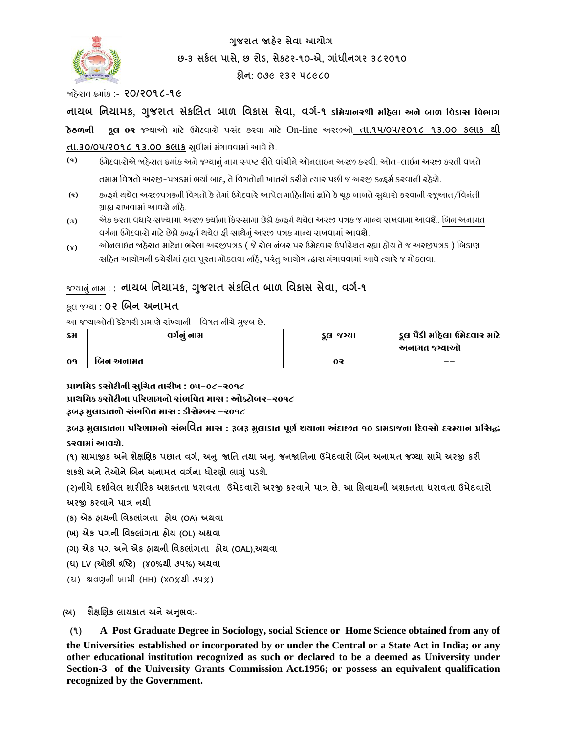

**ગજુ રાત જાહરે સેવા આયોગ છ-૩ સર્કલ પાસે, છ રોડ, સેર્ટર-૧૦-એ, ગાાંધીનગર ૩૮૨૦૧૦** 

**ફોન: ૦૭૯ ૨૩૨ ૫૮૯૮૦** 

જાહેરાત ક્રમાાંક :- **૨૦/૨૦૧૮-૧૯**

**નાયબ નનયામર્, ગજુ રાત સર્ાં લલત બાળ નવર્ાસ સેવા, વગક-૧ કમિશનરશ્રી િહિલા અને બાળ મિકાસ મિભાગ િેઠળની કૂલ ૦૨** જગ્યાઓ માટે ઉમેદવારો પસાંદ કરવા માટે On-line અરજીઓ **તા.૧૫/૦૫/૨૦૧૮ ૧૩.૦૦ ર્લાર્ થી** 

## **તા.૩૦/૦૫/૨૦૧૮ ૧૩.૦૦ ર્લાર્** સુધીમાાં માંગાવવામાાંઆવેછે.

- **(૧)** ઉમેદવારોએ જાઠેરાત ક્રમાંક અને જગ્યાનું નામ સ્પષ્ટ રીતે વાંચીને ઓનલાઇન અરજી કરવી. ઓન-લાઈન અરજી કરતી વખતે તમામ વિગતો અરજી-પત્રકમાં ભર્યા બાદ, તે વિગતોની ખાતરી કરીને ત્યાર પછી જ અરજી કન્ફર્મ કરવાની રહેશે.
- **(૨)** કન્ફર્મ થયેલ અરજીપત્રકની વિગતો કે તેમાં ઉમેદવારે આપેલ માહિતીમાં ક્ષતિ કે ચૂક બાબતે સુધારો કરવાની રજૂઆત/વિનંતી ગ્રાહ્ય રાખવામાં આવશે નહિ.
- **(૩)** એક કરતાં વધારે સંખ્યામાં અરજી કર્યાના કિસ્સામાં છેલ્લે કન્ફર્મ થયેલ અરજી પત્રક જ માન્ય રાખવામાં આવશે. બિન અનામત વર્ગના ઉમેદવારો માટે છેલ્લે કન્ફ્રમ થયેલ ફી સાથેનું અરજી પત્રક માન્ય રાખવામાં આવશે.
- **(૪)** .<br>ઓનલાઇન જાહેરાત માટેના ભરેલા અરજીપત્રક ( જે રોલ નંબર પર ઉમેદવાર ઉપસ્થિત રહ્યા હોય તે જ અરજીપત્રક ) બિડાણ ચાંઠેત આયોગની કચેરીમાં હાલ પૂરતા મોકલવા નહિ, પરંતુ આયોગ દ્ધારા મંગાવવામાં આવે ત્યારે જ મોકલવા.

# જગ્યાનુાં નામ : : **નાયબ નનયામર્, ગજુ રાત સર્ાં લલત બાળ નવર્ાસ સેવા, વગક-૧**

## કૂ લ જગ્યા : **૦૨ લબન અનામત**

આ જગ્યાઓની કેટેગરી પ્રમાણેસાંખ્યાની વવગત નીચેમુજબ છે.

| ક્રમ           | वर्गनु नाम | કૂલ જગ્યા | કૂલ પૈકી મહિલા ઉમેદવાર માટે<br>અનામત જગ્યાઓ |
|----------------|------------|-----------|---------------------------------------------|
| 0 <sup>q</sup> | બિન અનામત  | 09        | $- -$                                       |

**પ્રાથમિક કસોટીની સ મિત તારીખ : ૦૫-૦૮-૨૦૧૮**

**પ્રાથમિક કસોટીના પહરણાિનો સુંભમિત િાસ : ઓક્ટોબર-૨૦૧૮**

## **રૂબરૂ િ લાકાતનો સુંભમિત િાસ : ડીસેમ્બર -૨૦૧૮**

**રૂબરૂ િ લાકાતના પહરણાિનો સુંભનવત િાસ : રૂબરૂ િ લાકાત પૂણગ થયાના અુંદાજીત ૧૦ કાિકાજના હદિસો દરમ્યાન પ્રમસદ્ધ કરિાિાું આિશે.**

**(૧) સામાજીર્ અનેશૈક્ષલિર્ પછાત વગક, અન.ુજાનત તથા અન.ુજનજાનતના ઉમેદવારો લબન અનામત જગ્યા સામેઅરજી ર્રી શર્શેઅનેતેઓનેલબન અનામત વગકના ધોરિો લાગાંુપડશે.**

**(૨)નીચેદશાકવેલ શારીરરર્ અશક્તતા ધરાવતા ઉમેદવારો અરજી ર્રવાનેપાત્ર છે. આ નસવાયની અશક્તતા ધરાવતા ઉમેદવારો અરજી ર્રવાનેપાત્ર નથી**

- **(ર્) એર્ હાથની નવર્લાાંગતા હોય (OA) અથવા**
- **(ખ) એર્ પગની નવર્લાાંગતા હોય (OL) અથવા**
- **(ગ) એર્ પગ અનેએર્ હાથની નવર્લાગાં તા હોય (OAL),અથવા**
- **(ઘ) LV (ઓછી દ્રષ્ટટ) (૪૦%થી ૭૫%) અથવા**
- (ચ) શ્રવણની ખામી (HH) (૪૦%થી ૭૫%)

## **(અ) શૈક્ષલિર્ લાયર્ાત અનેઅનભુ વ:-**

**(૧) A Post Graduate Degree in Sociology, social Science or Home Science obtained from any of** 

**the Universities established or incorporated by or under the Central or a State Act in India; or any other educational institution recognized as such or declared to be a deemed as University under Section-3 of the University Grants Commission Act.1956; or possess an equivalent qualification recognized by the Government.**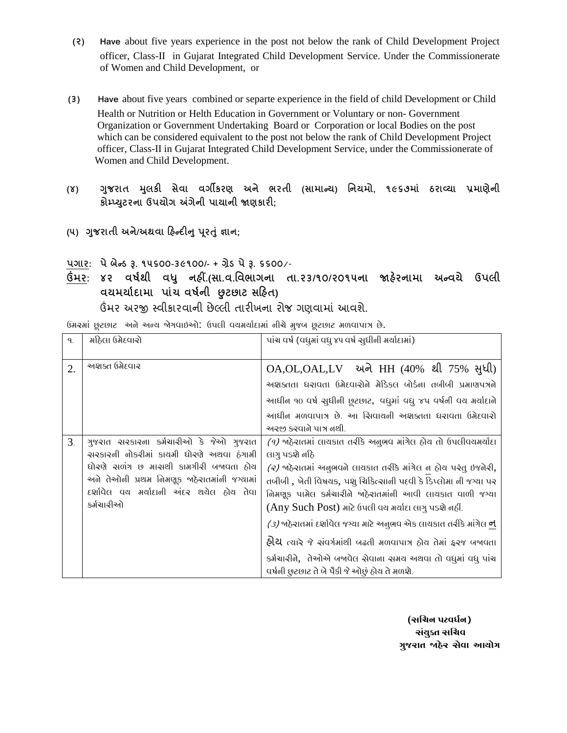- **(૨) Have** about five years experience in the post not below the rank of Child Development Project officer, Class-II in Gujarat Integrated Child Development Service. Under the Commissionerate of Women and Child Development, or
- **(૩) Have** about five years combined or separte experience in the field of child Development or Child Health or Nutrition or Helth Education in Government or Voluntary or non- Government Organization or Government Undertaking Board or Corporation or local Bodies on the post which can be considered equivalent to the post not below the rank of Child Development Project officer, Class-II in Gujarat Integrated Child Development Service, under the Commissionerate of Women and Child Development.
- **(૪) ગજુ રાત મલુ ર્ી સેવા વગીર્રિ અને ભરતી (સામાન્ય) નનયમો, ૧૯૬૭માાં ઠરાવ્યા પ્રમાિેની ર્ોમ્પ્યટુરના ઉપયોગ અંગેની પાયાની જાિર્ારી;**
- **(૫) ગજુ રાતી અને/અથવા રહન્દીનુપરૂતાંુજ્ઞાન;**
- **પગાર: પેબેન્ડ રૂ. ૧૫૬૦૦-૩૯૧૦૦/- + ગ્રેડ પેરૂ. ૬૬૦૦**/-
- **ઉંમર: ૪૨ વર્કથી વધુ નહીં.(સા.વ.નવભાગના તા.૨૩/૧૦/૨૦૧૫ના જાહરે નામા અન્વયે ઉપલી વયમયાકદામા પાાંચ વર્કની છુટછાટ સરહત)** ઉંમર અરજી સ્વીકારવાની છેલ્લી તારીખના રોજ ગણવામાાં આવશે.

| $\mathsf{q}$ . | મહિલા ઉમેદવારો                                                                                                                                                                                                                      | પાંચ વર્ષ (વધુમાં વધુ ૪૫ વર્ષ સુધીની મર્ચાદામાં)                                                                                                                                                                                                                                                                                                                                                                                                                                                                                                                                                                  |  |
|----------------|-------------------------------------------------------------------------------------------------------------------------------------------------------------------------------------------------------------------------------------|-------------------------------------------------------------------------------------------------------------------------------------------------------------------------------------------------------------------------------------------------------------------------------------------------------------------------------------------------------------------------------------------------------------------------------------------------------------------------------------------------------------------------------------------------------------------------------------------------------------------|--|
| 2.             | અશ્વક્ત ઉમેદવાર                                                                                                                                                                                                                     | OA,OL,OAL,LV અને HH (40% થી 75% સુધી)<br>અશક્તતા ધરાવતા ઉમેદવારોને મેડિકલ બોર્ડના તબીબી પ્રમાણપત્રને<br>આધીન ૧૦ વર્ષ સુધીની છૂટછાટ, વધુમાં વધુ ૪૫ વર્ષની વચ મર્ચાદાને<br>આધીન મળવાપાત્ર છે. આ સિવાચની અશ્વક્તતા ધરાવતા ઉમેદવારો<br>અરજી કરવાતે પાત્ર તથી.                                                                                                                                                                                                                                                                                                                                                         |  |
| 3 <sub>1</sub> | ગુજરાત સરકારના કર્મચારીઓ કે જેઓ ગુજરાત<br>ચરકારની નોકરીમાં કાચમી ધોરણે અથવા ઠંગામી<br>ધોરણે સળંગ છ માસથી કામગીરી બજાવતા હોય<br>અને તેઓની પ્રથમ નિમણૂક બહેરાતમાંની જગ્યામાં<br>દર્શાવેલ વચ મર્ચાદાની અંદર થચેલ હોચ તેવા<br>કર્મચારીઓ | $(9)$ ਅઠેરાતમાં લાચકાત તરીકે અનુભવ માંગેલ ઠોચ તો ઉપલીવચમર્ચાદા<br>લાગુ પડશે નહિ<br>$\alpha$ ) ਅઠેરાતમાં અનુભવને લાચકાત તરીકે માંગેલ ન ઠોચ પરંતુ ઇજનેરી,<br>તબીબી, ખેતી વિષચક, પશુ ચિકિત્સાની પદવી કે ડિપ્લોમા ની જગ્યા પર<br>નિમણૂક પામેલ કર્મચારીને જાઠેરાતમાંની આવી લાયકાત વાળી જગ્યા<br>(Any Such Post) માટે ઉપલી વચ મર્ચાદા લાગુ પડશે નહીં.<br><i>(૩)</i> જાહેરાતમાં દર્શાવેલ જગ્યા માટે અનુભવ એક લાયકાત તરીકે માંગેલ <b>ન</b><br>હીચ ત્યારે જે સંવર્ગમાંથી બઢતી મળવાપાત્ર હોય તેમાં ફરજ બજાવતા<br>કર્મચારીને, તેઓએ બબવેલ સેવાના સમય અથવા તો વધુમાં વધુ પાંચ<br>વર્ષની છુટછાટ તે બે પૈકી જે ઓછું હોય તે મળશે. |  |

 **(સમિન પટિર્ગન) સુંય ક્ત સમિિ ગ જરાત જાિેર સેિા આયોગ**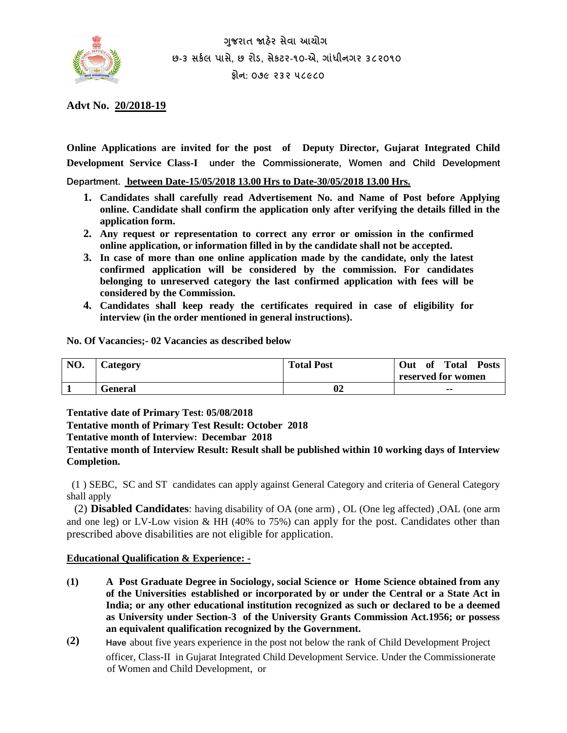

**ગજુ રાત જાહરે સેવા આયોગ છ-૩ સર્કલ પાસે, છ રોડ, સેર્ટર-૧૦-એ, ગાાંધીનગર ૩૮૨૦૧૦ ફોન: ૦૭૯ ૨૩૨ ૫૮૯૮૦** 

**Advt No. 20/2018-19** 

**Online Applications are invited for the post of Deputy Director, Gujarat Integrated Child Development Service Class-I under the Commissionerate, Women and Child Development** 

**Department. between Date-15/05/2018 13.00 Hrs to Date-30/05/2018 13.00 Hrs.**

- **1. Candidates shall carefully read Advertisement No. and Name of Post before Applying online. Candidate shall confirm the application only after verifying the details filled in the application form.**
- **2. Any request or representation to correct any error or omission in the confirmed online application, or information filled in by the candidate shall not be accepted.**
- **3. In case of more than one online application made by the candidate, only the latest confirmed application will be considered by the commission. For candidates belonging to unreserved category the last confirmed application with fees will be considered by the Commission.**
- **4. Candidates shall keep ready the certificates required in case of eligibility for interview (in the order mentioned in general instructions).**

**No. Of Vacancies;- 02 Vacancies as described below**

| NO. | Category | <b>Total Post</b> | Total<br>Out<br><b>Posts</b><br>of<br>reserved for women |
|-----|----------|-------------------|----------------------------------------------------------|
|     | General  | 02                | $\sim$                                                   |

**Tentative date of Primary Test: 05/08/2018**

**Tentative month of Primary Test Result: October 2018**

**Tentative month of Interview: Decembar 2018**

**Tentative month of Interview Result: Result shall be published within 10 working days of Interview Completion.**

 (1 ) SEBC, SC and ST candidates can apply against General Category and criteria of General Category shall apply

(2) **Disabled Candidates**: having disability of OA (one arm) , OL (One leg affected) ,OAL (one arm and one leg) or LV-Low vision & HH (40% to 75%) can apply for the post. Candidates other than prescribed above disabilities are not eligible for application.

#### **Educational Qualification & Experience: -**

- **(1) A Post Graduate Degree in Sociology, social Science or Home Science obtained from any of the Universities established or incorporated by or under the Central or a State Act in India; or any other educational institution recognized as such or declared to be a deemed as University under Section-3 of the University Grants Commission Act.1956; or possess an equivalent qualification recognized by the Government.**
- **(2) Have** about five years experience in the post not below the rank of Child Development Project officer, Class-II in Gujarat Integrated Child Development Service. Under the Commissionerate of Women and Child Development, or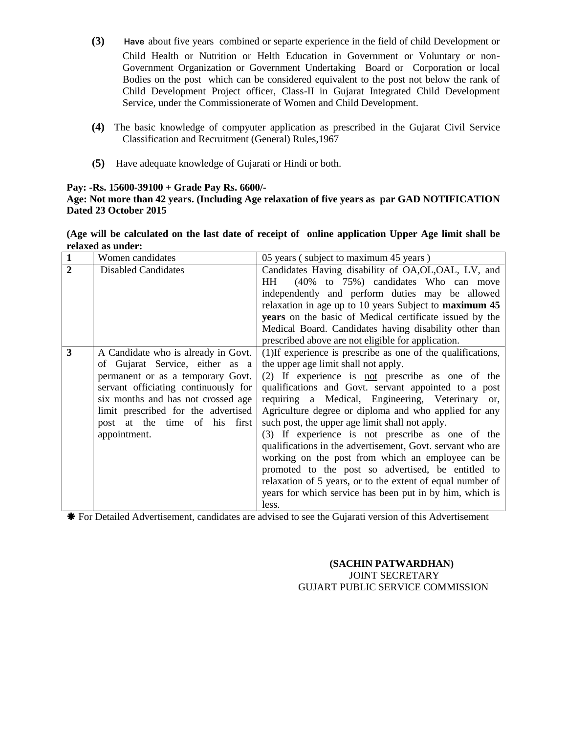- **(3) Have** about five years combined or separte experience in the field of child Development or Child Health or Nutrition or Helth Education in Government or Voluntary or non-Government Organization or Government Undertaking Board or Corporation or local Bodies on the post which can be considered equivalent to the post not below the rank of Child Development Project officer, Class-II in Gujarat Integrated Child Development Service, under the Commissionerate of Women and Child Development.
- **(4)** The basic knowledge of compyuter application as prescribed in the Gujarat Civil Service Classification and Recruitment (General) Rules,1967
- **(5)** Have adequate knowledge of Gujarati or Hindi or both.

## **Pay: -Rs. 15600-39100 + Grade Pay Rs. 6600/-**

### **Age: Not more than 42 years. (Including Age relaxation of five years as par GAD NOTIFICATION Dated 23 October 2015**

| (Age will be calculated on the last date of receipt of online application Upper Age limit shall be |  |
|----------------------------------------------------------------------------------------------------|--|
| relaxed as under:                                                                                  |  |

| $\mathbf{1}$            | Women candidates                     | 05 years (subject to maximum 45 years)                         |
|-------------------------|--------------------------------------|----------------------------------------------------------------|
| $\overline{2}$          | <b>Disabled Candidates</b>           | Candidates Having disability of OA, OL, OAL, LV, and           |
|                         |                                      | (40% to 75%) candidates Who can move<br>HH —                   |
|                         |                                      | independently and perform duties may be allowed                |
|                         |                                      | relaxation in age up to 10 years Subject to maximum 45         |
|                         |                                      | <b>years</b> on the basic of Medical certificate issued by the |
|                         |                                      | Medical Board. Candidates having disability other than         |
|                         |                                      | prescribed above are not eligible for application.             |
| $\overline{\mathbf{3}}$ | A Candidate who is already in Govt.  | (1) If experience is prescribe as one of the qualifications,   |
|                         | of Gujarat Service, either as a      | the upper age limit shall not apply.                           |
|                         | permanent or as a temporary Govt.    | (2) If experience is not prescribe as one of the               |
|                         | servant officiating continuously for | qualifications and Govt. servant appointed to a post           |
|                         | six months and has not crossed age   | requiring a Medical, Engineering, Veterinary or,               |
|                         | limit prescribed for the advertised  | Agriculture degree or diploma and who applied for any          |
|                         | post at the time of his first        | such post, the upper age limit shall not apply.                |
|                         | appointment.                         | $(3)$ If experience is <u>not</u> prescribe as one of the      |
|                         |                                      | qualifications in the advertisement, Govt. servant who are     |
|                         |                                      | working on the post from which an employee can be              |
|                         |                                      | promoted to the post so advertised, be entitled to             |
|                         |                                      | relaxation of 5 years, or to the extent of equal number of     |
|                         |                                      | years for which service has been put in by him, which is       |
|                         |                                      | less.                                                          |

For Detailed Advertisement, candidates are advised to see the Gujarati version of this Advertisement

### **(SACHIN PATWARDHAN)** JOINT SECRETARY GUJART PUBLIC SERVICE COMMISSION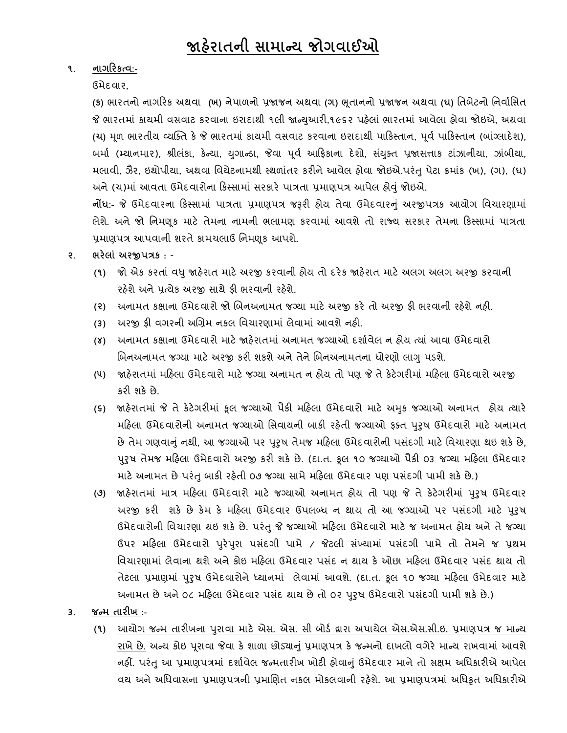## **૧. નાગરરર્ત્વ:-**

ઉમેદવાર,

**(ર્)** ભારતનો નાગરરક અથવા **(ખ)** નેપાળનો પ્રજાજન અથવા **(ગ)** ભ ૂતાનનો પ્રજાજન અથવા **(ઘ)** તતબેટનો તનવાાતિત જે ભારતમાં કાયમી વસવાટ કરવાના ઇરાદાથી ૧લી જાન્યુઆરી,૧૯૬૨ પહેલાં ભારતમાં આવેલા હોવા જોઇએ, અથવા **(ચ)** મ ૂળ ભારતીય વ્યક્તત કે જે ભારતમાાં કાયમી વિવાટ કરવાના ઇરાદાથી પારકસ્તાન, પ ૂવા પારકસ્તાન (બાાંગ્લાદેશ), બર્મા (મ્યાનમાર), શ્રીલંકા, કેન્યા, યગાન્ડા, જેવા પૂર્વ આફ્રિકાના દેશો, સંયુક્ત પ્રજાસત્તાક ટાંઝાનીયા, ઝાંબીયા, મલાવી, ઝેૈર, ઇથોપીયા, અથવા વિચેટનામથી સ્થળાંતર કરીને આવેલ હોવા જોઇએ.પરંતુ પેટા ક્રમાંક (ખ), (ગ), (ઘ) અને (ચ)માં આવતા ઉમેદવારોના કિસ્સામાં સરકારે પાત્રતા પ્રમાણપત્ર આપેલ હોવું જોઇએ.

**નોંધ:-** જે ઉમેદવારના રકસ્િામાાં પાત્રતા પ્રમાણપત્ર જરૂરી હોય તેવા ઉમેદવારનુાં અરજીપત્રક આયોગ તવચારણામાાં લેશે. અને જો નિમણૂક માટે તેમના નામની ભલામણ કરવામાં આવશે તો રાજ્ય સરકાર તેમના કિસ્સામાં પાત્રતા પ્રમાણપત્ર આપવાની શરતે કામચલાઉ નિમણૂક આપશે.

## **૨. ભરેલાાં અરજીપત્રર્** : -

- **(૧)** જો એક કરતાાં વધુજાહરે ાત માટેઅરજી કરવાની હોય તો દરેક જાહરે ાત માટેઅલગ અલગ અરજી કરવાની રહેશે અને પ્રત્યેક અરજી સાથે ફી ભરવાની રહેશે.
- **(૨)** અનામત કક્ષાના ઉમેદવારો જો બબનઅનામત જગ્યા માટે અરજી કરે તો અરજી ફી ભરવાની રહેશેનહી.
- **(૩)** અરજી ફી વગરની અબિમ નકલ તવચારણામાાં લેવામાાં આવશે નહી.
- **(૪)** અનામત કક્ષાના ઉમેદવારો માટે જાહેરાતમાાં અનામત જગ્યાઓ દશાાવેલ ન હોય ત્યાાં આવા ઉમેદવારો બિનઅનામત જગ્યા માટે અરજી કરી શકશે અને તેને બિનઅનામતના ધોરણો લાગુ પડશે.
- **(૫)** જાહેરાતમાાં મરહલા ઉમેદવારો માટે જગ્યા અનામત ન હોય તો પણ જે તે કેટેગરીમાાં મરહલા ઉમેદવારો અરજી કરી શકે છે.
- **(૬)** જાહરે ાતમાાં જે તેકેટેગરીમાાં કૂલ જગ્યાઓ પૈકી મરહલા ઉમેદવારો માટે અમકુ જગ્યાઓ અનામત હોય ત્યારે મરહલા ઉમેદવારોની અનામત જગ્યાઓ તિવાયની બાકી રહતે ી જગ્યાઓ ફતત પરુુષ ઉમેદવારો માટે અનામત છે તેમ ગણવાનું નથી, આ જગ્યાઓ પર પુરુષ તેમજ મહિલા ઉમેદવારોની પસંદગી માટે વિચારણા થઇ શકે છે, પરુુષ તેમજ મરહલા ઉમેદવારો અરજી કરી શકે છે. (દા.ત. કૂલ ૧૦ જગ્યાઓ પૈકી ૦૩ જગ્યા મરહલા ઉમેદવાર માટે અનામત છે પરંતુ બાકી રહેતી ૦૭ જગ્યા સામે મહિલા ઉમેદવાર પણ પસંદગી પામી શકે છે.)
- **(૭)** જાહરે ાતમાાં માત્ર મરહલા ઉમેદવારો માટે જગ્યાઓ અનામત હોય તો પણ જે તેકેટેગરીમાાં પરુુષ ઉમેદવાર અરજી કરી શકે છે કેમ કે મહિલા ઉમેદવાર ઉપલબ્ધ ન થાય તો આ જગ્યાઓ પર પસંદગી માટે પુરૂષ ઉમેદવારોની તવચારણા થઇ શકે છે. પરાંતુજે જગ્યાઓ મરહલા ઉમેદવારો માટે જ અનામત હોય અને તે જગ્યા ઉપર મહિલા ઉમેદવારો પુરેપુરા પસંદગી પામે / જેટલી સંખ્યામાં પસંદગી પામે તો તેમને જ પ્રથમ વિચારણામાં લેવાના થશે અને કોઇ મહિલા ઉમેદવાર પસંદ ન થાય કે ઓછા મહિલા ઉમેદવાર પસંદ થાય તો તેટલા પ્રમાણમાં પુરુષ ઉમેદવારોને ધ્યાનમાં લેવામાં આવશે. (દા.ત. કૂલ ૧૦ જગ્યા મહિલા ઉમેદવાર માટે અનામત છે અને ૦૮ મહિલા ઉમેદવાર પસંદ થાય છે તો ૦૨ પુરુષ ઉમેદવારો પસંદગી પામી શકે છે.)

## **૩. જન્મ તારીખ :-**

**(૧)** આયોગ જન્મ તારીખના પરુ ાવા માટે એિ. એિ. િી બોડા દ્વારા અપાયેલ એિ.એિ.િી.ઇ. પ્રમાણપત્ર જ માન્ય <u>રાખે છે.</u> અન્ય કોઇ પૂરાવા જેવા કે શાળા છોડ્યાનું પ્રમાણપત્ર કે જન્મનો દાખલો વગેરે માન્ય રાખવામાં આવશે નહીં. પરંતુ આ પ્રમાણપત્રમાં દર્શાવેલ જન્મતારીખ ખોટી હોવાનું ઉમેદવાર માને તો સક્ષમ અધિકારીએ આપેલ વય અને અધિવાસના પ્રમાણપત્રની પ્રમાણિત નકલ મોકલવાની રહેશે. આ પ્રમાણપત્રમાં અધિકૃત અધિકારીએ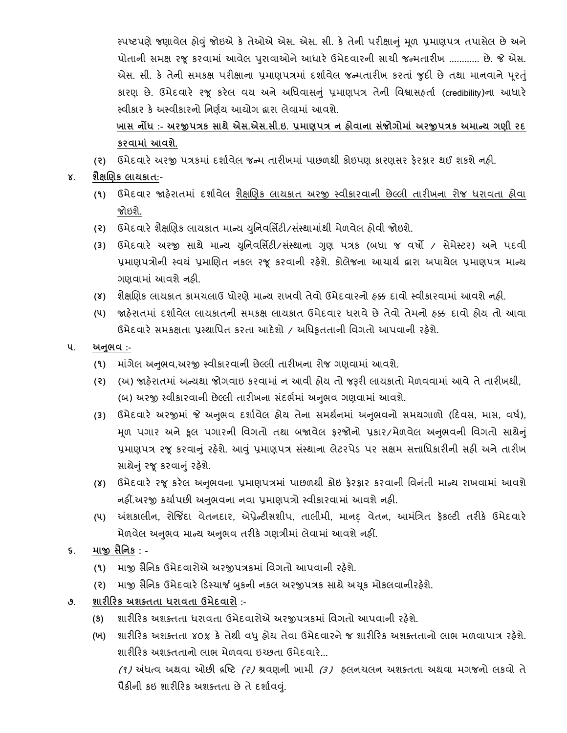સ્પષ્ટપણે જણાવેલ હોવું જોઇએ કે તેઓએ એસ. એસ. સી. કે તેની પરીક્ષાનું મૂળ પ્રમાણપત્ર તપાસેલ છે અને પોતાની સમક્ષ રજૂ કરવામાં આવેલ પુરાવાઓને આધારે ઉમેદવારની સાચી જન્મતારીખ ............ છે. જે એસ. એસ. સી. કે તેની સમકક્ષ પરીક્ષાના પ્રમાણપત્રમાં દર્શાવેલ જન્મતારીખ કરતાં જુદી છે તથા માનવાને પૂરતું કારણ છે. ઉમેદવારે રજૂ કરેલ વય અને અતધવાિનુાં પ્રમાણપત્ર તેની તવશ્વાિહતાા (credibility)ના આધારે સ્વીકાર કે અસ્વીકારનો નિર્ણય આયોગ દ્વારા લેવામાં આવશે.

**ખાસ નોંધ :- અરજીપત્રર્ સાથેએસ.એસ.સી.ઇ. પ્રમાિપત્ર ન હોવાના સાંજોગોમાાં અરજીપત્રર્ અમાન્ય ગિી રદ ર્રવામાાં આવશે.**

- **(૨)** ઉમેદવારે અરજી પત્રકમાાં દશાાવેલ જન્મ તારીખમાાં પાછળથી કોઇપણ કારણિર ફેરફાર થઈ શકશેનહી.
- **૪. શૈક્ષલિર્ લાયર્ાત:**
	- **(૧)** ઉમેદવાર જાહેરાતમાાં દશાાવેલ શૈક્ષબણક લાયકાત અરજી સ્વીકારવાની છેલ્લી તારીખના રોજ ધરાવતા હોવા જોઇશે.
	- **(૨)** ઉમેદવારે શૈક્ષબણક લાયકાત માન્ય યતુનવતિિટી/િસ્ાં થામાથાં ી મેળવેલ હોવી જોઇશે.
	- **(૩)** ઉમેદવારે અરજી િાથે માન્ય યતુનવતિિટી/િસ્ાં થાના ગણુ પત્રક (બધા જ વષો / િેમેસ્ટર) અને પદવી પ્રમાણપત્રોની સ્વયં પ્રમાણિત નકલ રજૂ કરવાની રહેશે. કોલેજના આચાર્ય દ્વારા અપાયેલ પ્રમાણપત્ર માન્ય ગણવામાાં આવશે નહી.
	- **(૪)** શૈક્ષબણક લાયકાત કામચલાઉ ધોરણે માન્ય રાખવી તેવો ઉમેદવારનો હક્ક દાવો સ્વીકારવામાાં આવશે નહી.
	- **(૫)** જાહેરાતમાાં દશાાવેલ લાયકાતની િમકક્ષ લાયકાત ઉમેદવાર ધરાવે છે તેવો તેમનો હક્ક દાવો હોય તો આવા ઉમેદવારે સમકક્ષતા પ્રસ્થાપિત કરતા આદેશો / અધિકૃતતાની વિગતો આપવાની રહેશે.
- **૫. અનભુ વ :-**
	- **(૧)** માગાં ેલ અનભુ વ,અરજી સ્વીકારવાની છેલ્લી તારીખના રોજ ગણવામાાં આવશે.
	- **(૨)** (અ) જાહેરાતમાાં અન્યથા જોગવાઇ કરવામાાં ન આવી હોય તો જરૂરી લાયકાતો મેળવવામાાં આવે તે તારીખથી, (બ) અરજી સ્વીકારવાની છેલ્લી તારીખના સંદર્ભમાં અનુભવ ગણવામાં આવશે.
	- (3) ઉમેદવારે અરજીમાં જે અનુભવ દર્શાવેલ હોય તેના સમર્થનમાં અનુભવનો સમયગાળો (દિવસ, માસ, વર્ષ), મૂળ પગાર અને કૂલ પગારની વિગતો તથા બજાવેલ ફરજોનો પ્રકાર/મેળવેલ અનુભવની વિગતો સાથેનું પ્રમાણપત્ર રજૂ કરવાનું રહેશે. આવું પ્રમાણપત્ર સંસ્થાના લેટરપેડ પર સક્ષમ સત્તાધિકારીની સહી અને તારીખ સાથેનું રજૂ કરવાનું રહેશે.
	- (૪) ઉમેદવારે રજૂ કરેલ અનુભવના પ્રમાણપત્રમાં પાછળથી કોઇ ફેરફાર કરવાની વિનંતી માન્ય રાખવામાં આવશે નહીં.અરજી કર્યાપછી અનુભવના નવા પ્રમાણપત્રો સ્વીકારવામાં આવશે નહી.
	- **(૫)** અંશકાલીન, રોજજિંદા વેતનદાર, એપ્રેન્ટીિશીપ, તાલીમી, માનદ્ વેતન, આમતાંત્રત ફકૅ લ્ટી તરીકે ઉમેદવારે મેળવેલ અનુભવ માન્ય અનુભવ તરીકે ગણત્રીમાં લેવામાં આવશે નહીં.
- **૬. માજી સૈનનર્ : -**
	- **(૧)** માજી િૈતનક ઉમેદવારોએ અરજીપત્રકમાાં તવગતો આપવાની રહેશે.
	- (૨) માજી સૈનિક ઉમેદવારે ડિસ્ચાર્જ બુકની નકલ અરજીપત્રક સાથે અચૂક મોકલવાનીરહેશે.
- **૭. શારીરરર્ અશક્તતા ધરાવતા ઉમેદવારો :-**
	- **(ર્)** શારીરરક અશતતતા ધરાવતા ઉમેદવારોએ અરજીપત્રકમાાં તવગતો આપવાની રહેશે.
	- **(ખ)** શારીરરક અશતતતા ૪૦% કે તેથી વધુહોય તેવા ઉમેદવારનેજ શારીરરક અશતતતાનો લાભ મળવાપાત્ર રહશે ે. શારીરરક અશતતતાનો લાભ મેળવવા ઇચ્છતા ઉમેદવારે...

 $(1)$  અંધત્વ અથવા ઓછી દ્રષ્ટિ (૨) શ્રવણની ખામી (૩) હલનચલન અશક્તતા અથવા મગજનો લકવો તે પૈકીની કઇ શારીરિક અશક્તતા છે તે દર્શાવવું.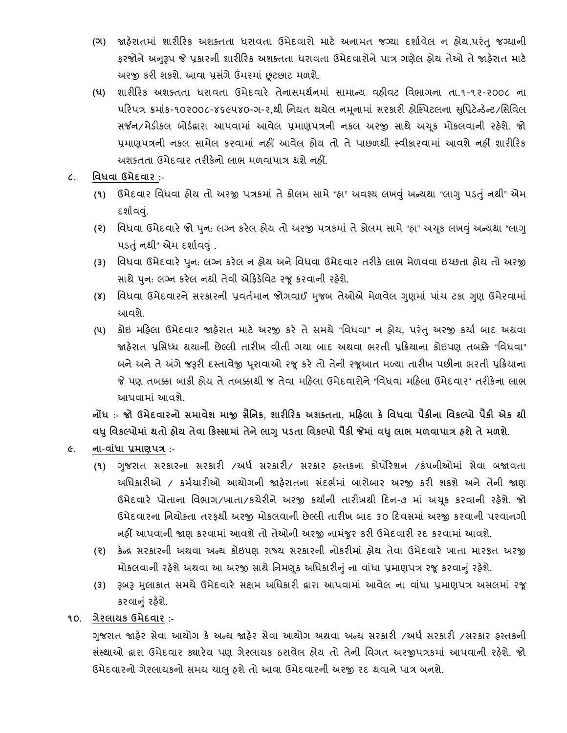- **(ગ)** જાહેરાતમાાં શારીરરક અશતતતા ધરાવતા ઉમેદવારો માટે અનામત જગ્યા દશાાવેલ ન હોય,પરાંતુ જગ્યાની કરજોને અનુરૂપ જે પૂકારની શારીરિક અશક્તતા ધરાવતા ઉમેદવારોને પાત્ર ગણેલ હોય તેઓ તે જાહેરાત માટે અરજી કરી શકશે. આવા પ્રસંગે ઉંમરમાં છૂટછાટ મળશે.
- **(ઘ)** શારીરરક અશતતતા ધરાવતા ઉમેદવારે તેનાિમથાનમાાં િામાન્ય વહીવટ તવભાગના તા.૧-૧૨-૨૦૦૮ ના પરિપત્ર ક્રમાંક-૧૦૨૦૦૮-૪૬૯૫૪૦-ગ-૨,થી નિયત થયેલ નમૂનામાં સરકારી હોસ્પિટલના સુપ્રિટેન્ડેન્ટ/સિવિલ સર્જન/મેડીકલ બોર્ડહ્રારા આપવામાં આવેલ પ્રમાણપત્રની નકલ અરજી સાથે અચૂક મોકલવાની રહેશે. જો પ્રમાણપત્રની નકલ સામેલ કરવામાં નહીં આવેલ હોય તો તે પાછળથી સ્વીકારવામાં આવશે નહીં શારીરિક અશતતતા ઉમેદવાર તરીકેનો લાભ મળવાપાત્ર થશે નહીં.
- **૮. નવધવા ઉમેદવાર :-**
	- **(૧)** ઉમેદવાર તવધવા હોય તો અરજી પત્રકમાાં તે કોલમ િામે "હા" અવશ્ય લખવુાં અન્યથા "લાગુપડતુાં નથી" એમ દર્શાવવં.
	- **(૨)** તવધવા ઉમેદવારે જો પનુ : લગ્ન કરેલ હોય તો અરજી પત્રકમાાં તેકોલમ િામે"હા" અચકૂ લખવુાં અન્યથા "લાગુ પડતું નથી" એમ દર્શાવવું .
	- **(૩)** તવધવા ઉમેદવારે પનુ : લગ્ન કરેલ ન હોય અનેતવધવા ઉમેદવાર તરીકે લાભ મેળવવા ઇચ્છતા હોય તો અરજી સાથે પુન: લગ્ન કરેલ નથી તેવી એફિડેવિટ રજૂ કરવાની રહેશે.
	- **(૪)** તવધવા ઉમેદવારનેિરકારની પ્રવતામાન જોગવાઈ મજુ બ તેઓએ મેળવેલ ગણુ માાં પાચાં ટકા ગણુ ઉમેરવામાાં આવશે.
	- **(૫)** કોઇ મરહલા ઉમેદવાર જાહેરાત માટે અરજી કરે તે િમયે "તવધવા" ન હોય, પરાંતુઅરજી કયાા બાદ અથવા જાહેરાત પ્રતિધ્ધ થયાની છેલ્લી તારીખ વીતી ગયા બાદ અથવા ભરતી પ્રરક્રયાના કોઇપણ તબક્કે "તવધવા" બને અને તે અંગે જરૂરી દસ્તાવેજી પુરાવાઓ રજૂ કરે તો તેની રજૂઆત મળ્યા તારીખ પછીના ભરતી પ્રક્રિયાના જે પણ તબક્કા બાકી હોય તે તબક્કાથી જ તેવા મરહલા ઉમેદવારોને "તવધવા મરહલા ઉમેદવાર" તરીકેના લાભ આપવામાાં આવશે.

નોંધ :- જો ઉમેદવારનો સમાવેશ માજી સૈનિક, શારીરિક અશક્તતા, મહિલા કે વિધવા પૈકીના વિકલ્પો પૈકી એક થી **વધુનવર્લ્પોમાાં થતો હોય તેવા રર્સ્સામાાં તેનેલાગુપડતા નવર્લ્પો પૈર્ી જેમાાં વધુલાભ મળવાપાત્ર હશેતેમળશે.**

- **૯. ના-વાાંધા પ્રમાિપત્ર :-**
	- **(૧)** ગજુ રાત િરકારના િરકારી /અધા િરકારી/ િરકાર હસ્તકના કોપોરેશન /કાંપનીઓમાાં િેવા બજાવતા અધિકારીઓ / કર્મચારીઓ આયોગની જાહેરાતના સંદર્ભમાં બારોબાર અરજી કરી શકશે અને તેની જાણ ઉમેદવારે પોતાના વિભાગ/ખાતા/કચેરીને અરજી કર્યાની તારીખથી દિન-૭ માં અચૂક કરવાની રહેશે. જો ઉમેદવારના નિયોક્તા તરફથી અરજી મોકલવાની છેલ્લી તારીખ બાદ ૩૦ દિવસમાં અરજી કરવાની પરવાનગી નહીં આપવાની જાણ કરવામાં આવશે તો તેઓની અરજી નામંજુર કરી ઉમેદવારી રદ કરવામાં આવશે.
	- **(૨)** કેન્દ્ર િરકારની અથવા અન્ય કોઇપણ રાજ્ય િરકારની નોકરીમાાં હોય તેવા ઉમેદવારે ખાતા મારફત અરજી મોકલવાની રહેશે અથવા આ અરજી સાથે નિમણૂક અધિકારીનું ના વાંધા પ્રમાણપત્ર રજૂ કરવાનું રહેશે.
	- **(૩)** રૂબરૂ મલુ ાકાત િમયેઉમેદવારે િક્ષમ અતધકારી દ્વારા આપવામાાં આવેલ ના વાધાં ા પ્રમાણપત્ર અિલમાાં રજૂ કરવાનું રહેશે.
- **૧૦. ગેરલાયર્ ઉમેદવાર :-**

ગુજરાત જાહેર સેવા આયોગ કે અન્ય જાહેર સેવા આયોગ અથવા અન્ય સરકારી /અર્ધ સરકારી /સરકાર હસ્તકની િ ાંસ્થાઓ દ્વારા ઉમેદવાર ક્યારેય પણ ગેરલાયક ઠરાવેલ હોય તો તેની તવગત અરજીપત્રકમાાં આપવાની રહેશે. જો ઉમેદવારનો ગેરલાયકનો િમય ચાલુહશેતો આવા ઉમેદવારની અરજી રદ થવાને પાત્ર બનશે.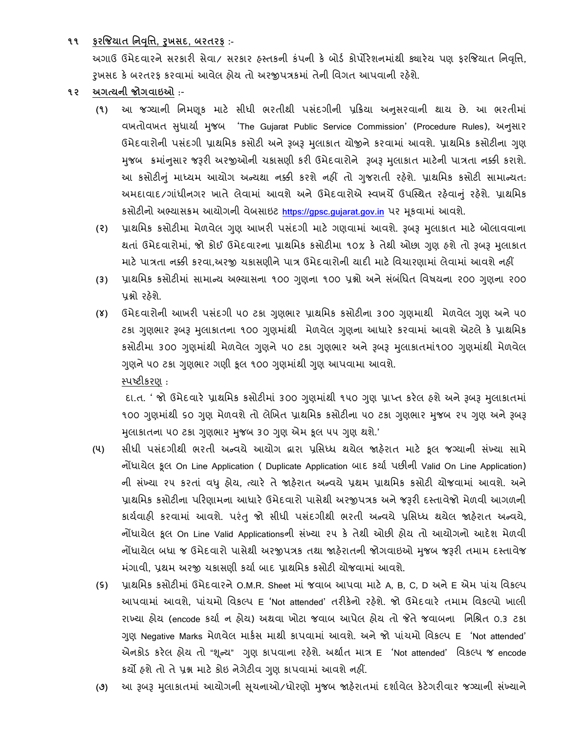**૧૧ ફરજજયાત નનવનૃિ, રુખસદ, બરતરફ :-**

અગાઉ ઉમેદવારને સરકારી સેવા/ સરકાર હસ્તકની કંપની કે બોર્ડ કોર્પોરેશનમાંથી ક્યારેય પણ કરજિયાત નિવૃત્તિ, રૂખસદ કે બરતરફ કરવામાં આવેલ હોય તો અરજીપત્રકમાં તેની વિગત આપવાની રહેશે.

- **૧૨ અગત્યની જોગવાઇઓ** :-
	- **(૧)** આ જગ્યાની તનમણકૂ માટે િીધી ભરતીથી પિદાં ગીની પ્રરક્રયા અનિુ રવાની થાય છે. આ ભરતીમાાં વખતોવખત સુધાર્યા મુજબ 'The Gujarat Public Service Commission' (Procedure Rules), અનુસાર ઉમેદવારોની પસંદગી પ્રાથમિક કસોટી અને રૂબરૂ મુલાકાત યોજીને કરવામાં આવશે. પ્રાથમિક કસોટીના ગુણ મુજબ ક્રમાંનુસાર જરૂરી અરજીઓની ચકાસણી કરી ઉમેદવારોને રૂબરૂ મુલાકાત માટેની પાત્રતા નક્કી કરાશે. આ કસોટીનું માધ્યમ આયોગ અન્યથા નક્કી કરશે નહીં તો ગુજરાતી રહેશે. પ્રાથમિક કસોટી સામાન્યત: અમદાવાદ/ગાંધીનગર ખાતે લેવામાં આવશે અને ઉમેદવારોએ સ્વખર્ચે ઉપસ્થિત રહેવાનું રહેશે. પ્રાથમિક કસોટીનો અભ્યાસક્રમ આયોગની વેબસાઇટ [https://gpsc.gujarat.gov.in](https://gpsc.gujarat.gov.in/) પર મૂકવામાં આવશે.
	- **(૨)** પ્રાથતમક કિોટીમા મેળવેલ ગણુ આખરી પિદાં ગી માટે ગણવામાાં આવશે. રૂબરૂ મલુ ાકાત માટે બોલાવવાના થતાં ઉમેદવારોમાં, જો કોઈ ઉમેદવારના પ્રાથમિક કસોટીમા ૧૦% કે તેથી ઓછા ગણ હશે તો રૂબરૂ મલાકાત માટે પાત્રતા નક્કી કરવા,અરજી ચકાસણીને પાત્ર ઉમેદવારોની યાદી માટે વિચારણામાં લેવામાં આવશે નહીં
	- <mark>(3)</mark> પ્રાથમિક કસોટીમાં સામાન્ય અભ્યાસના ૧૦૦ ગુણુના ૧૦૦ પ્રશ્નો અને સંબંધિત વિષયના ૨૦૦ ગુણુના ૨૦૦ પ્રશ્નો રહેશે.
	- **(૪)** ઉમેદવારોની આખરી પસંદગી ૫૦ ટકા ગુણુભાર પ્રાથમિક કસોટીના ૩૦૦ ગુણુમાથી મેળવેલ ગુણુ અને ૫૦ ટકા ગુણુભાર રૂબરૂ મુલાકાતના ૧૦૦ ગુણમાંથી મેળવેલ ગુણુના આધારે કરવામાં આવશે એટલે કે પ્રાથમિક કસોટીમા ૩૦૦ ગુણુમાંથી મેળવેલ ગુણુને ૫૦ ટકા ગુણુભાર અને રૂબરૂ મુલાકાતમાં૧૦૦ ગુણુમાંથી મેળવેલ ગુણને ૫૦ ટકા ગુણભાર ગણી કૂલ ૧૦૦ ગુણમાંથી ગુણ આપવામા આવશે. સ્પષ્ટીકરણ :

દા.ત. ' જો ઉમેદવારે પ્રાથમિક કસોટીમાં ૩૦૦ ગણમાંથી ૧૫૦ ગણ પ્રાપ્ત કરેલ હશે અને રૂબરૂ મલાકાતમાં ૧૦૦ ગુણમાંથી ૬૦ ગુણ મેળવશે તો લેખિત પ્રાથમિક કસોટીના ૫૦ ટકા ગુણભાર મુજબ ૨૫ ગુણ અને રૂબરૂ મુલાકાતના ૫૦ ટકા ગુણુભાર મુજબ ૩૦ ગુણ એમ કૂલ ૫૫ ગુણ થશે.'

- <mark>(૫)</mark> સીધી પસંદગીથી ભરતી અન્વયે આયોગ દ્વારા પ્રસિધ્ધ થયેલ જાહેરાત માટે કૂલ જગ્યાની સંખ્યા સામે નોંધાયેલ કૂલ On Line Application ( Duplicate Application બાદ કર્યા પછીની Valid On Line Application) ની સંખ્યા ૨૫ કરતાં વધુ હોય, ત્યારે તે જાહેરાત અન્વયે પ્રથમ પ્રાથમિક કસોટી યોજવામાં આવશે. અને પ્રાથમિક કસોટીના પરિણામના આધારે ઉમેદવારો પાસેથી અરજીપત્રક અને જરૂરી દસ્તાવેજો મેળવી આગળની કાર્યવાહી કરવામાં આવશે. પરંતુ જો સીધી પસંદગીથી ભરતી અન્વયે પ્રસિધ્ધ થયેલ જાહેરાત અન્વયે, નોંધાયેલ કૂલ On Line Valid Applicationsની સંખ્યા ૨૫ કે તેથી ઓછી હોય તો આયોગનો આદેશ મેળવી નોંધાયેલ બધા જ ઉમેદવારો પાસેથી અરજીપત્રક તથા જાહેરાતની જોગવાઇઓ મુજબ જરૂરી તમામ દસ્તાવેજ મંગાવી, પ્રથમ અરજી ચકાસણી કર્યા બાદ પ્રાથમિક કસોટી યોજવામાં આવશે.
- **(૬)** પ્રાથતમક કિોટીમાાં ઉમેદવારને O.M.R. Sheet માાં જવાબ આપવા માટે A, B, C, D અને E એમ પાાંચ તવકલ્પ આપવામાાં આવશે, પાાંચમો તવકલ્પ E 'Not attended' તરીકેનો રહેશે. જો ઉમેદવારે તમામ તવકલ્પો ખાલી રાખ્યા હોય (encode કર્યા ન હોય) અથવા ખોટા જવાબ આપેલ હોય તો જેતે જવાબના નિશ્રિત ૦.૩ ટકા ગણુ Negative Marks મેળવેલ માકાિ માથી કાપવામાાં આવશે. અને જો પાાંચમો તવકલ્પ E 'Not attended' એનકોડ કરેલ હોય તો "શૂન્ય" ગુણ કાપવાના રહેશે. અર્થાત માત્ર E 'Not attended' વિકલ્પ જ encode કયો હશેતો તેપ્રશ્ન માટેકોઇ નેગેટીવ ગણુ કાપવામાાં આવશેનહીં.
- (૭) આ રૂબરૂ મુલાકાતમાં આયોગની સુચનાઓ/ધોરણો મુજબ જાહેરાતમાં દર્શાવેલ કેટેગરીવાર જગ્યાની સંખ્યાને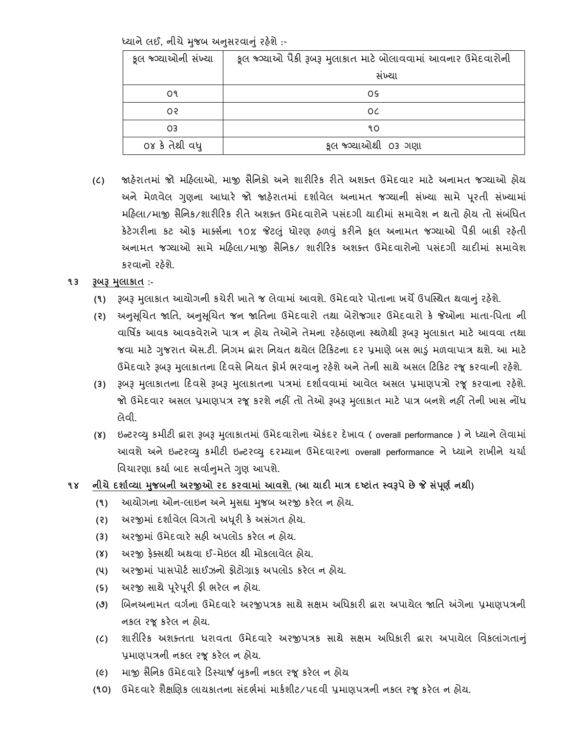ધ્યાને લઈ, નીચે મુજબ અનુસરવાનું રહેશે :-

| કૂલ જ્ગ્યાઓની સંખ્યા | કૂલ જ્ગ્યાઓ પૈકી રૂબરૂ મુલાકાત માટે બોલાવવામાં આવનાર ઉમેદવારોની |  |
|----------------------|-----------------------------------------------------------------|--|
|                      | સંખ્યા                                                          |  |
| O٩                   | ΟS                                                              |  |
| os                   | 0C                                                              |  |
| O <sub>3</sub>       | ٩O                                                              |  |
| ૦૪ કે તેથી વધ્       | કૂલ જ્ગ્યાઓથી 03 ગણા                                            |  |

- **(૮)** જાહેરાતમાાં જો મરહલાઓ, માજી િૈતનકો અને શારીરરક રીતે અશતત ઉમેદવાર માટે અનામત જગ્યાઓ હોય અને મેળવેલ ગુણના આધારે જો જાહેરાતમાં દર્શાવેલ અનામત જગ્યાની સંખ્યા સામે પૂરતી સંખ્યામાં મહિલા/માજી સૈનિક/શારીરિક રીતે અશક્ત ઉમેદવારોને પસંદગી યાદીમાં સમાવેશ ન થતો હોય તો સંબંધિત કેટેગરીના કટ ઓફ માર્ક્સના ૧૦% જેટલું ધોરણ હળવું કરીને કૂલ અનામત જગ્યાઓ પૈકી બાકી રહેતી અનામત જગ્યાઓ સામે મહિલા/માજી સૈનિક/ શારીરિક અશક્ત ઉમેદવારોનો પસંદગી યાદીમાં સમાવેશ કરવાનો રહેશે.
- **૧૩ રૂબરૂ મલુ ાર્ાત :-**
	- (૧) રૂબરૂ મુલાકાત આયોગની કચેરી ખાતે જ લેવામાં આવશે. ઉમેદવારે પોતાના ખર્ચે ઉપસ્થિત થવાનું રહેશે.
	- **(૨)** અનસુ બૂચત જાતત, અનસુ બૂચત જન જાતતના ઉમેદવારો તથા બેરોજગાર ઉમેદવારો કે જેઓના માતા-તપતા ની વાર્ષિક આવક આવકવેરાને પાત્ર ન હોય તેઓને તેમના રહેઠાણના સ્થળેથી રૂબરૂ મુલાકાત માટે આવવા તથા જવા માટે ગુજરાત એસ.ટી. નિગમ દ્વારા નિયત થયેલ ટિકિટના દર પ્રમાણે બસ ભાડું મળવાપાત્ર થશે. આ માટે ઉમેદવારે રૂબરૂ મુલાકાતના દિવસે નિયત ફોર્મ ભરવાનુ રહેશે અને તેની સાથે અસલ ટિકિટ રજૂ કરવાની રહેશે.
	- **(૩)** રૂબરૂ મલુ ાકાતના રદવિેરૂબરૂ મલુ ાકાતના પત્રમાાં દશાાવવામાાં આવેલ અિલ પ્રમાણપત્રો રજૂકરવાના રહેશે. જો ઉમેદવાર અસલ પ્રમાણપત્ર રજૂ કરશે નહીં તો તેઓ રૂબરૂ મુલાકાત માટે પાત્ર બનશે નહીં તેની ખાસ નોંધ લેવી.
	- **(૪)** ઇન્ટરવ્યુકમીટી દ્વારા રૂબરૂ મલુ ાકાતમાાં ઉમેદવારોના એકાંદર દેખાવ ( overall performance ) ને ધ્યાને લેવામાાં આવશે અને ઇન્ટરવ્યુ કમીટી ઇન્ટરવ્યુ દરમ્યાન ઉમેદવારના overall performance ને ધ્યાને રાખીને ચર્ચા વિચારણા કર્યા બાદ સર્વાનુમતે ગુણ આપશે.
- **૧૪ નીચેદશાકવ્યા મજુ બની અરજીઓ રદ ર્રવામાાં આવશે. (આ યાદી માત્ર દટટાાંત સ્વરૂપેછેજે સપાં િૂ ક નથી)**
	- **(૧)** આયોગના ઓન-લાઇન અનેમિુ દ્દા મજુ બ અરજી કરેલ ન હોય.
	- **(૨)** અરજીમાાં દશાાવેલ તવગતો અધ ૂરી કે અિ ાંગત હોય.
	- **(૩)** અરજીમાાં ઉમેદવારે િહી અપલોડ કરેલ ન હોય.
	- **(૪)** અરજી ફેતિથી અથવા ઈ-મેઇલ થી મોકલાવેલ હોય.
	- **(૫)** અરજીમાાં પાિપોટા િાઈઝનો ફોટોિાફ અપલોડ કરેલ ન હોય.
	- **(૬)** અરજી િાથે પ ૂરેપ ૂરી ફી ભરેલ ન હોય.
	- **(૭)** બબનઅનામત વગાના ઉમેદવારે અરજીપત્રક િાથે િક્ષમ અતધકારી દ્વારા અપાયેલ જાતત અંગેના પ્રમાણપત્રની નકલ રજૂકરેલ ન હોય.
	- **(૮)** શારીરરક અશતતતા ધરાવતા ઉમેદવારે અરજીપત્રક િાથે િક્ષમ અતધકારી દ્વારા અપાયેલ તવકલાગાં તાનુાં પ્રમાણપત્રની નકલ રજૂકરેલ ન હોય.
	- **(૯)** માજી િૈતનક ઉમેદવારે રડસ્ચાર્જ બકુની નકલ રજૂકરેલ ન હોય
	- **(૧૦)** ઉમેદવારે શૈક્ષબણક લાયકાતના િદાં ભામાાં માકાશીટ/પદવી પ્રમાણપત્રની નકલ રજૂકરેલ ન હોય.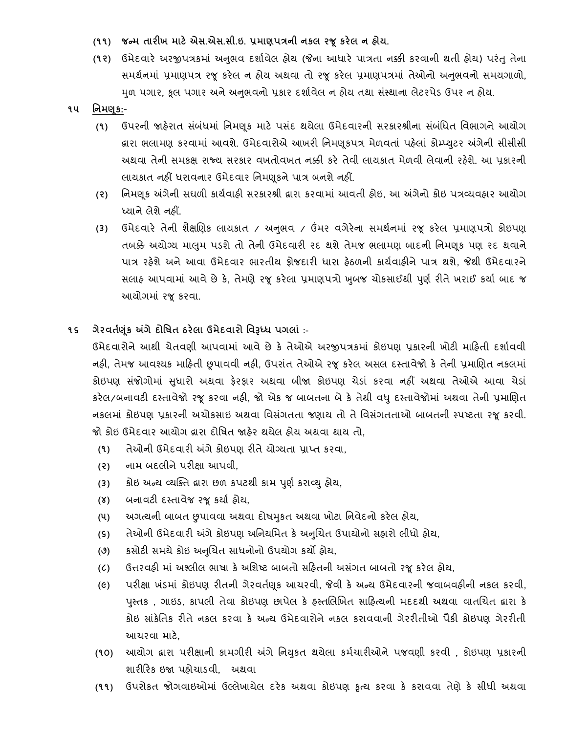- **(૧૧) જન્મ તારીખ માટેએસ.એસ.સી.ઇ. પ્રમાિપત્રની નર્લ રજૂર્રેલ ન હોય.**
- **(૧૨)** ઉમેદવારે અરજીપત્રકમાાં અનભુ વ દશાાવેલ હોય (જેના આધારે પાત્રતા નક્કી કરવાની થતી હોય) પરાંતુતેના સમર્થનમાં પ્રમાણપત્ર રજૂ કરેલ ન હોય અથવા તો રજૂ કરેલ પ્રમાણપત્રમાં તેઓનો અનુભવનો સમયગાળો, મળ પગાર, કુલ પગાર અને અનુભવનો પ્રકાર દર્શાવેલ ન હોય તથા સંસ્થાના લેટરપેડ ઉપર ન હોય.
- **૧૫ નનમણ ૂર્:**
	- **(૧)** ઉપરની જાહેરાત િ ાંબ ાંધમાાં તનમણ ૂક માટે પિ ાંદ થયેલા ઉમેદવારની િરકારશ્રીના િ ાંબ ાંતધત તવભાગને આયોગ લારા ભલામણ કરવામાં આવશે. ઉમેદવારોએ આખરી નિમણૂકપત્ર મેળવતાં પહેલાં કોમ્પ્યુટર અંગેની સીસીસી અથવા તેની િમકક્ષ રાજ્ય િરકાર વખતોવખત નક્કી કરે તેવી લાયકાત મેળવી લેવાની રહેશે. આ પ્રકારની લાયકાત નહીં ધરાવનાર ઉમેદવાર નિમણૂકને પાત્ર બનશે નહીં.
	- **(૨)** તનમણ ૂક અંગેની િઘળી કાયાવાહી િરકારશ્રી દ્વારા કરવામાાં આવતી હોઇ, આ અંગેનો કોઇ પત્રવ્યવહાર આયોગ ધ્યાને લેશે નહીં.
	- **(૩)** ઉમેદવારે તેની શૈક્ષબણક લાયકાત / અનભુ વ / ઉંમર વગેરેના િમથાનમાાં રજૂ કરેલ પ્રમાણપત્રો કોઇપણ તબક્કેઅયોગ્ય માલમુ પડશેતો તેની ઉમેદવારી રદ થશેતેમજ ભલામણ બાદની તનમણકૂ પણ રદ થવાને પાત્ર રહેશે અને આવા ઉમેદવાર ભારતીય ફોજદારી ધારા હેઠળની કાયાવાહીને પાત્ર થશે, જેથી ઉમેદવારને સલાહ આપવામાં આવે છે કે, તેમણે રજૂ કરેલા પ્રમાણપત્રો ખુબજ ચોકસાઈથી પૂર્ણ રીતે ખરાઈ કર્યા બાદ જ આયોગમાાં રજૂકરવા.
- **૧૬ ગેરવતકણર્ાંૂ અંગેદોનર્ત ઠરેલા ઉમેદવારો નવરૂધ્ધ પગલાાં :-**

ઉમેદવારોને આથી ચેતવણી આપવામાં આવે છે કે તેઓએ અરજીપત્રકમાં કોઇપણ પ્રકારની ખોટી માહિતી દર્શાવવી નહી, તેમજ આવશ્યક માહિતી છૂપાવવી નહી, ઉપરાંત તેઓએ રજૂ કરેલ અસલ દસ્તાવેજો કે તેની પ્રમાણિત નકલમાં કોઇપણ સંજોગોમાં સુધારો અથવા ફેરફાર અથવા બીજા કોઇપણ ચેડાં કરવા નહીં અથવા તેઓએ આવા ચેડાં કરેલ/બનાવટી દસ્તાવેજો રજૂકરવા નહી, જો એક જ બાબતના બેકે તેથી વધુદસ્તાવેજોમાાં અથવા તેની પ્રમાબણત નકલમાં કોઇપણ પ્રકારની અચોકસાઇ અથવા વિસંગતતા જણાય તો તે વિસંગતતાઓ બાબતની સ્પષ્ટતા રજૂ કરવી. જો કોઇ ઉમેદવાર આયોગ દ્વારા દોતષત જાહેર થયેલ હોય અથવા થાય તો,

- **(૧)** તેઓની ઉમેદવારી અંગે કોઇપણ રીતે યોગ્યતા પ્રાપ્ત કરવા,
- **(૨)** નામ બદલીને પરીક્ષા આપવી,
- (3) કોઇ અન્ય વ્યક્તિ **દ્વારા છળ કપટથી કામ પુર્ણ કરાવ્યુ** હોય,
- **(૪)** બનાવટી દસ્તાવેજ રજૂકયાા હોય,
- **(૫)** અગત્યની બાબત છુપાવવા અથવા દોષમકુત અથવા ખોટા તનવેદનો કરેલ હોય,
- **(૬)** તેઓની ઉમેદવારી અંગેકોઇપણ અતનયતમત કેઅનબુચત ઉપાયોનો િહારો લીધો હોય,
- **(૭)** કિોટી િમયેકોઇ અનબુચત િાધનોનો ઉપયોગ કયો હોય,
- **(૮)** ઉત્તરવહી માાં અશ્લીલ ભાષા કેઅતશષ્ટ બાબતો િરહતની અિગાં ત બાબતો રજૂકરેલ હોય,
- **(૯)** પરીક્ષા ખ ાંડમાાં કોઇપણ રીતની ગેરવતાણ ૂક આચરવી, જેવી કે અન્ય ઉમેદવારની જવાબવહીની નકલ કરવી, પુસ્તક , ગાઇડ, કાપલી તેવા કોઇપણ છાપેલ કે હસ્તલિખિત સાહિત્યની મદદથી અથવા વાતચિત દ્વારા કે કોઇ િાાંકેતતક રીતે નકલ કરવા કે અન્ય ઉમેદવારોને નકલ કરાવવાની ગેરરીતીઓ પૈકી કોઇપણ ગેરરીતી આચરવા માટે,
- **(૧૦)** આયોગ દ્વારા પરીક્ષાની કામગીરી અંગેતનયકુત થયેલા કમાચારીઓનેપજવણી કરવી , કોઇપણ પ્રકારની શારીરરક ઇજા પહોચાડવી, અથવા
- **(૧૧)** ઉપરોકત જોગવાઇઓમાાં ઉલ્લેખાયેલ દરેક અથવા કોઇપણ કૃત્ય કરવા કે કરાવવા તેણેકે િીધી અથવા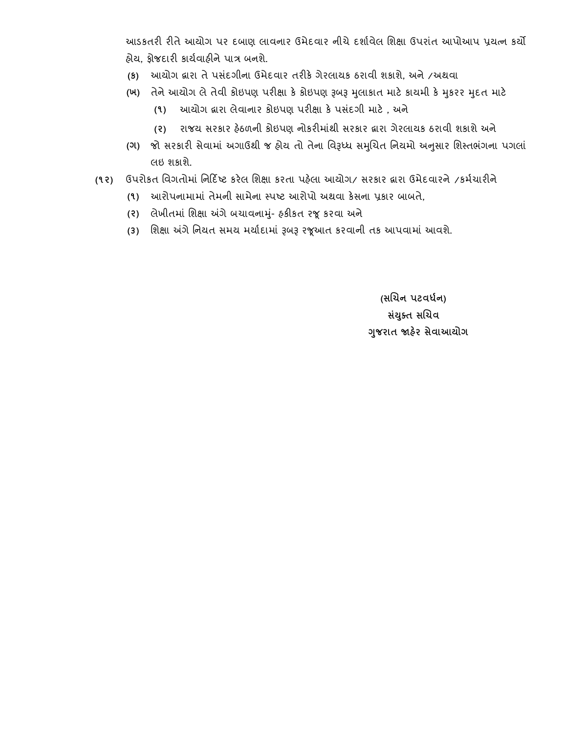આડકતરી રીતે આયોગ પર દબાણ લાવનાર ઉમેદવાર નીચે દશાાવેલ તશક્ષા ઉપરાાંત આપોઆપ પ્રયત્ન કયો હોય, ફોજદારી કાયાવાહીને પાત્ર બનશે.

- **(ર્)** આયોગ દ્વારા તે પિ ાંદગીના ઉમેદવાર તરીકે ગેરલાયક ઠરાવી શકાશે, અને /અથવા
- **(ખ)** તેનેઆયોગ લેતેવી કોઇપણ પરીક્ષા કેકોઇપણ રૂબરૂ મલુ ાકાત માટેકાયમી કેમકુરર મદુ ત માટે
	- **(૧)** આયોગ દ્વારા લેવાનાર કોઇપણ પરીક્ષા કે પિ ાંદગી માટે , અને
	- **(૨)** રાજય િરકાર હેઠળની કોઇપણ નોકરીમાાંથી િરકાર દ્વારા ગેરલાયક ઠરાવી શકાશે અને
- **(ગ)** જો િરકારી િેવામાાં અગાઉથી જ હોય તો તેના તવરૂધ્ધ િમબુચત તનયમો અનિુ ાર તશસ્તભગાં ના પગલાાં લઇ શકાશે.
- **(૧૨)** ઉપરોકત તવગતોમાાં તનરદિષ્ટ કરેલ તશક્ષા કરતા પહેલા આયોગ/ િરકાર દ્વારા ઉમેદવારને /કમાચારીને
	- **(૧)** આરોપનામામાાં તેમની િામેના સ્પષ્ટ આરોપો અથવા કેિના પ્રકાર બાબતે,
	- **(૨)** લેખીતમાાં તશક્ષા અંગેબચાવનામ-ુાં હકીકત રજૂકરવા અને
	- **(૩)** તશક્ષા અંગે તનયત િમય મયાાદામાાં રૂબરૂ રજૂઆત કરવાની તક આપવામાાં આવશે.

 **(સલચન પટવધકન) સયાં ક્ુત સલચવ ગજુ રાત જાહરે સેવાઆયોગ**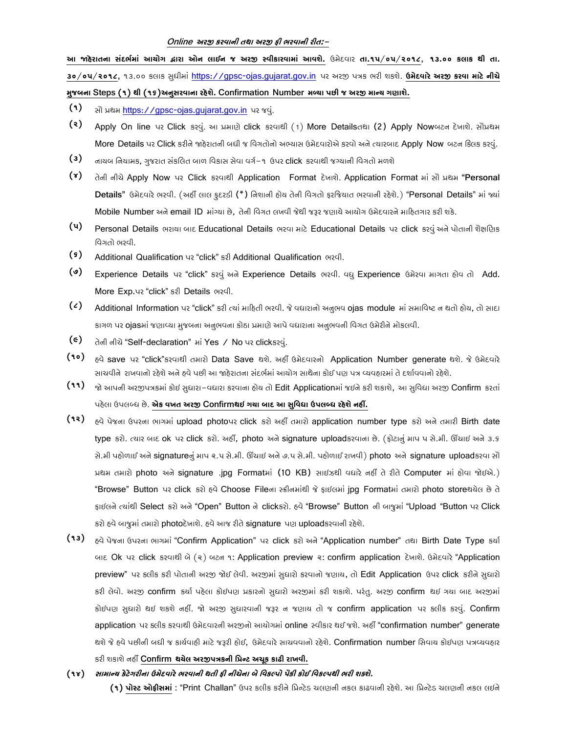#### **Online અરજી કરવાની તથા અરજી ફી ભરવાની રીત:-**

આ જાહેરાતના સંદર્ભમાં આયોગ દ્વારા ઓન લાઈન જ અરજી સ્વીકારવામાં આવશે. ઉમેદવાર તા.૧૫/૦૫/૨૦૧૮, ૧૩.૦૦ કલાક થી તા. **૩૦/૦૫/૨૦૧૮,** ૧૩.૦૦ કલ ક સુધીમ ાં [https://gpsc-ojas.gujarat.gov.in](https://gpsc-ojas.gujarat.gov.in/) પર અરજી પત્રક ભરી શકશે. **ઉમેદવારેઅરજી કરવા માટેનીચે મુજબના Steps (૧) થી (૧૬)અનુસરવાના રહેશે. Confirmation Number મળ્યા પછી જ અરજી માન્ય ગણાશે.**

- **(૧)** સૌ પ્રથમ [https://gpsc-ojas.gujarat.gov.in](https://gpsc-ojas.gujarat.gov.in/) પર જવુાં.
- **(૨)** Apply On line પર Click કરવું. આ પ્રમાણે click કરવાથી (1) More Detailsતથા (2) Apply Nowબટન દેખાશે. સૌપ્રથમ More Details પર Click કરીને જાહેરાતની બધી જ વિગતોનો અભ્યાસ ઉમેદવારોએ કરવો અને ત્યારબાદ Apply Now બટન કિલક કરવું.
- **(3)** નાયબ નિયામક, ગુજરાત સંકલિત બાળ વિકાસ સેવા વર્ગ−૧ ઉપર **click** કરવાથી જગ્યાની વિગતો મળશે
- **(૪)** તેની નીચે Apply Now પર Click કરવાથી Application Format દેખાશે. Application Format માં સૌ પ્રથમ "Personal Details" ઉમેદવારે ભરવી. (અહીં લાલ ફદરડી (\*) નિશાની હોય તેની વિગતો ફરજિયાત ભરવાની રહેશે.) "Personal Details" માં જ્યાં Mobile Number અને email ID માંગ્યા છે. તેની વિગત લખવી જેથી જરૂર જણાયે આયોગ ઉમેદવારને માહિતગાર કરી શકે.
- **(૫)** Personal Details ભરાયા બાદ Educational Details ભરવા માટે Educational Details પર click કરવું અને પોતાની શૈક્ષણિક વિગતો ભરવી.
- **(૬)** Additional Qualification પર "click" કરી Additional Qualification ભરવી.
- **(૭)** Experience Details પર "click" કરવું અને Experience Details ભરવી. વધુ Experience ઉમેરવા માગતા હોવ તો Add. More Exp.પર "click" કરી Details ભરવી.
- (2) Additional Information પર "click" કરી ત્યાં માહિતી ભરવી. જે વધારાનો અનુભવ ojas module માં સમાવિષ્ટ ન થતો હોય, તો સાદા કાગળ પર ojasમાં જણાવ્યા મુજબના અનુભવના કોઠા પ્રમાણે આપે વધારાના અનુભવની વિગત ઉમેરીને મોકલવી.
- **(૯)** તેની નીચે "Self-declaration" માં Yes / No પર clickકરવું.
- (10) <sub>હ</sub>વે save પર "click" કરવાથી તમારો Data Save થશે. અહીં ઉમેદવારનો Application Number generate થશે. જે ઉમેદવારે સાચવીને રાખવાનો રહેશે અને હવે પછી આ જાહેરાતના સંદર્ભમાં આયોગ સાથેના કોઈ પણ પત્ર વ્યવહારમાં તે દર્શાવવાનો રહેશે.
- (૧૧) જો આપની અરજીપત્રકમાં કોઈ સુધારા-વધારા કરવાના હોય તો Edit Applicationમાં જઈને કરી શકાશે, આ સુવિધા અરજી Confirm કરતાં પહેલ ઉપલબ્ધ છે. **એક વખત અરજી Confirmથઇ ગયા બાદ આ સુવવધા ઉપલબ્ધ રહેશેનહીં.**
- **(૧૨)** હવે પેજન ઉપરન ભ ગમ ાં upload photoપર click કરો અહીં તમ રો application number type કરો અને તમ રી Birth date type કરો. ત્યાર બાદ ok પર click કરો. અહીં, photo અને signature uploadકરવાના છે. (ફોટાનું માપ પ સે.મી. ઊંચાઈ અને ૩.૬ સે.મી પહોળાઈ અને signatureનું માપ ૨.૫ સે.મી. ઊંચાઈ અને ૭.૫ સે.મી. પહોળાઈ રાખવી) photo અને signature uploadકરવા સૌ પ્રથમ તમારો photo અને signature .jpg Formatમાં (10 KB) સાઈઝથી વધારે નહીં તે રીતે Computer માં હોવા જોઈએ.) "Browse" Button પર click કરો હવે Choose Fileના સ્ક્રીનમાંથી જે ફાઈલમાં jpg Formatમાં તમારો photo storeથયેલ છે તે ફાઈલને ત્યાંથી Select કરો અને "Open" Button ને clickકરો. હવે "Browse" Button ની બાજુમાં "Upload "Button પર Click કરો હવે બાજુમાં તમારો photoદેખાશે. હવે આજ રીતે signature પણ uploadકરવાની રહેશે.
- **(૧૩)** <sub>દિ</sub>વે પેજના ઉપરના ભાગમાં "Confirm Application" પર click કરો અને "Application number" તથા Birth Date Type કર્યા બાદ Ok પર click કરવાથી બે (૨) બટન ૧: Application preview ૨: confirm application દેખાશે. ઉમેદવારે "Application preview" પર ક્લીક કરી પોતાની અરજી જોઈ લેવી. અરજીમાં સુધારો કરવાનો જણાય, તો Edit Application ઉપર click કરીને સુધારો કરી લેવો. અરજી confirm કર્યા પહેલા કોઈપણ પ્રકારનો સુધારો અરજીમાં કરી શકાશે. પરંતુ. અરજી confirm થઈ ગયા બાદ અરજીમાં કોઈપણ સુધારો થઈ શકશે નહીં. જો અરજી સુધારવાની જરૂર ન જણાય તો જ confirm application પર કલીક કરવું. Confirm application પર કલીક કરવાથી ઉમેદવારની અરજીનો આયોગમાં online સ્વીકાર થઈ જશે. અહીં "confirmation number" generate થશે જે હવે પછીની બધી જ કાર્યવાહી માટે જરૂરી હોઈ, ઉમેદવારે સાચવવાનો રહેશે. Confirmation number સિવાય કોઈપણ પત્રવ્યવહાર કરી શક શે નહીં **Confirm થયેલ અરજીપત્રકની વિન્ટ અચૂક કાઢી રાખવી.**
- **(૧૪) સામાન્ય કેટેગરીના ઉમેદવારેભરવાની થતી ફી નીચેના બેવવકલ્પો પૈકી કોઈ વવકલ્પથી ભરી શક્શે.**

(1) પોસ્ટ ઓફીસમાં : "Print Challan" ઉપર કલીક કરીને પ્રિન્ટેડ ચલણની નકલ કાઢવાની રહેશે. આ પ્રિન્ટેડ ચલણની નકલ લઇને